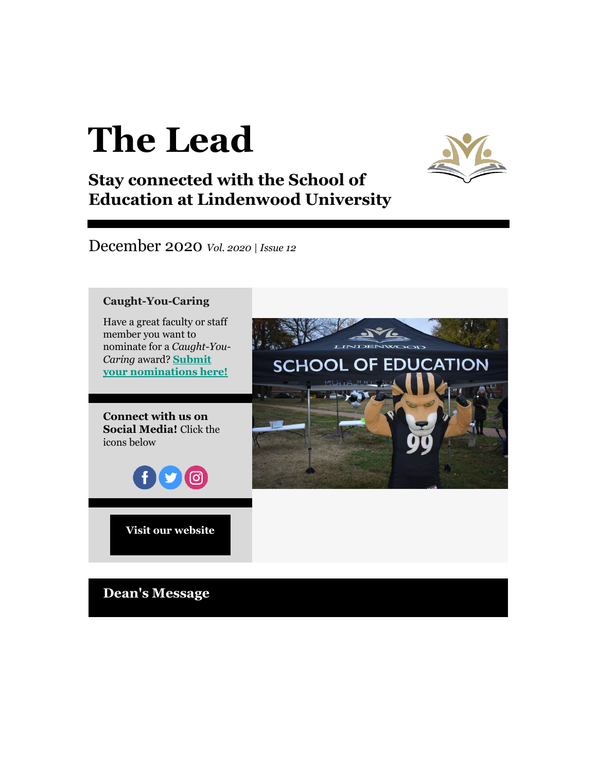# **The Lead**



## **Stay connected with the School of Education at Lindenwood University**

December 2020 *Vol. 2020 | Issue 12*



**Dean's Message**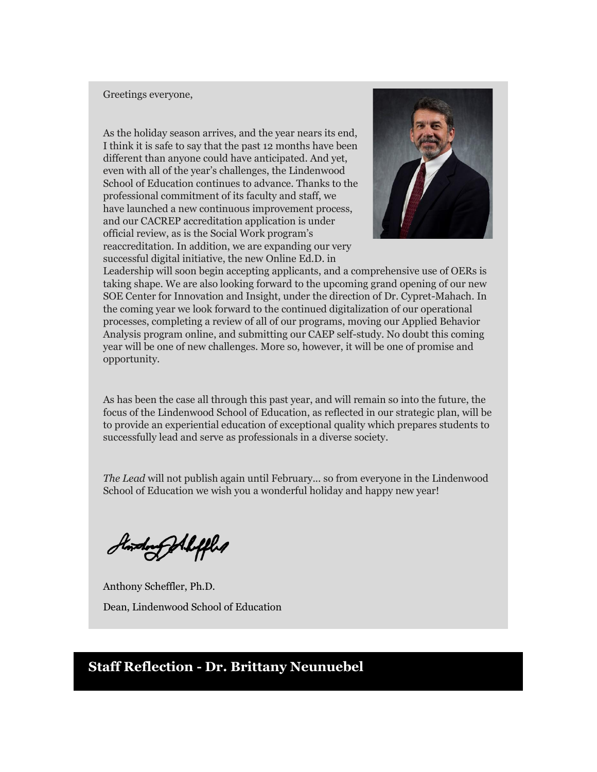#### Greetings everyone,

As the holiday season arrives, and the year nears its end, I think it is safe to say that the past 12 months have been different than anyone could have anticipated. And yet, even with all of the year's challenges, the Lindenwood School of Education continues to advance. Thanks to the professional commitment of its faculty and staff, we have launched a new continuous improvement process, and our CACREP accreditation application is under official review, as is the Social Work program's reaccreditation. In addition, we are expanding our very successful digital initiative, the new Online Ed.D. in



Leadership will soon begin accepting applicants, and a comprehensive use of OERs is taking shape. We are also looking forward to the upcoming grand opening of our new SOE Center for Innovation and Insight, under the direction of Dr. Cypret-Mahach. In the coming year we look forward to the continued digitalization of our operational processes, completing a review of all of our programs, moving our Applied Behavior Analysis program online, and submitting our CAEP self-study. No doubt this coming year will be one of new challenges. More so, however, it will be one of promise and opportunity.

As has been the case all through this past year, and will remain so into the future, the focus of the Lindenwood School of Education, as reflected in our strategic plan, will be to provide an experiential education of exceptional quality which prepares students to successfully lead and serve as professionals in a diverse society.

*The Lead* will not publish again until February... so from everyone in the Lindenwood School of Education we wish you a wonderful holiday and happy new year!

Hondon Pollifles

Anthony Scheffler, Ph.D. Dean, Lindenwood School of Education

## **Staff Reflection - Dr. Brittany Neunuebel**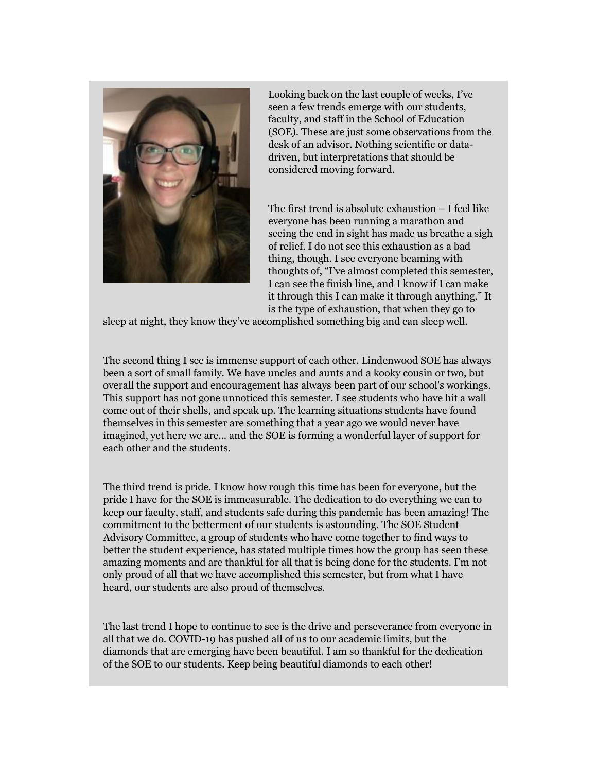

Looking back on the last couple of weeks, I've seen a few trends emerge with our students, faculty, and staff in the School of Education (SOE). These are just some observations from the desk of an advisor. Nothing scientific or datadriven, but interpretations that should be considered moving forward.

The first trend is absolute exhaustion – I feel like everyone has been running a marathon and seeing the end in sight has made us breathe a sigh of relief. I do not see this exhaustion as a bad thing, though. I see everyone beaming with thoughts of, "I've almost completed this semester, I can see the finish line, and I know if I can make it through this I can make it through anything." It is the type of exhaustion, that when they go to

sleep at night, they know they've accomplished something big and can sleep well.

The second thing I see is immense support of each other. Lindenwood SOE has always been a sort of small family. We have uncles and aunts and a kooky cousin or two, but overall the support and encouragement has always been part of our school's workings. This support has not gone unnoticed this semester. I see students who have hit a wall come out of their shells, and speak up. The learning situations students have found themselves in this semester are something that a year ago we would never have imagined, yet here we are... and the SOE is forming a wonderful layer of support for each other and the students.

The third trend is pride. I know how rough this time has been for everyone, but the pride I have for the SOE is immeasurable. The dedication to do everything we can to keep our faculty, staff, and students safe during this pandemic has been amazing! The commitment to the betterment of our students is astounding. The SOE Student Advisory Committee, a group of students who have come together to find ways to better the student experience, has stated multiple times how the group has seen these amazing moments and are thankful for all that is being done for the students. I'm not only proud of all that we have accomplished this semester, but from what I have heard, our students are also proud of themselves.

The last trend I hope to continue to see is the drive and perseverance from everyone in all that we do. COVID-19 has pushed all of us to our academic limits, but the diamonds that are emerging have been beautiful. I am so thankful for the dedication of the SOE to our students. Keep being beautiful diamonds to each other!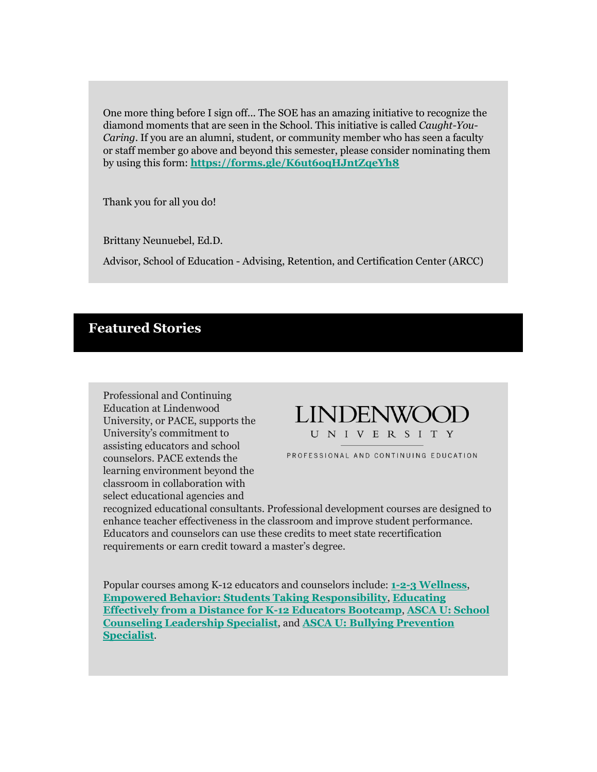One more thing before I sign off... The SOE has an amazing initiative to recognize the diamond moments that are seen in the School. This initiative is called *Caught-You-Caring*. If you are an alumni, student, or community member who has seen a faculty or staff member go above and beyond this semester, please consider nominating them by using this form: **[https://forms.gle/K6ut6oqHJntZqeYh8](http://r20.rs6.net/tn.jsp?f=001N2pj85w2UfS8mNZ0g1t27SijS3gEYM3id4ymBeMf73JctJN0rRZRyKkeMlJVpUBAZpudGPNcwy8luhClnG2i9pSeYLHSH-vxrei_kBTFdSEaJ7w63s12zjo-HtE8SmEz1FtrMrCUndRQUOTd00gkunacM2xlziQ7&c=bpBDr0UTT6OaUIWP60xGxPcH1DiV2cksCl_sEmpSKC-njm-bn-JHBg==&ch=hAqrXvCAFM4nfY6T-TvmTzf7A_qu-MzjcgWStdVCrJqcUa4uoeyV-A==)**

Thank you for all you do!

Brittany Neunuebel, Ed.D.

Advisor, School of Education - Advising, Retention, and Certification Center (ARCC)

## **Featured Stories**

Professional and Continuing Education at Lindenwood University, or PACE, supports the University's commitment to assisting educators and school counselors. PACE extends the learning environment beyond the classroom in collaboration with select educational agencies and



PROFESSIONAL AND CONTINUING EDUCATION

recognized educational consultants. Professional development courses are designed to enhance teacher effectiveness in the classroom and improve student performance. Educators and counselors can use these credits to meet state recertification requirements or earn credit toward a master's degree.

Popular courses among K-12 educators and counselors include: **[1-2-3 Wellness](http://r20.rs6.net/tn.jsp?f=001N2pj85w2UfS8mNZ0g1t27SijS3gEYM3id4ymBeMf73JctJN0rRZRyKkeMlJVpUBAM33p17Hx9v7Pj1nU38p4B9eZSi-8Om2RXkSFQVJ1rC6i7hPkuPf4svzasMJLbx55APRx2YC4CNkXvZexW-WyKKeTKRpEcTifGPKAKqxsfBPGOCGgCF5qpM1O5IWEME38oCR-VoSvulVSp0Ys7NRCSg==&c=bpBDr0UTT6OaUIWP60xGxPcH1DiV2cksCl_sEmpSKC-njm-bn-JHBg==&ch=hAqrXvCAFM4nfY6T-TvmTzf7A_qu-MzjcgWStdVCrJqcUa4uoeyV-A==)**, **[Empowered Behavior: Students Taking Responsibility](http://r20.rs6.net/tn.jsp?f=001N2pj85w2UfS8mNZ0g1t27SijS3gEYM3id4ymBeMf73JctJN0rRZRyKkeMlJVpUBAM33p17Hx9v7Pj1nU38p4B9eZSi-8Om2RXkSFQVJ1rC6i7hPkuPf4svzasMJLbx55APRx2YC4CNkXvZexW-WyKKeTKRpEcTifGPKAKqxsfBPGOCGgCF5qpM1O5IWEME38oCR-VoSvulVSp0Ys7NRCSg==&c=bpBDr0UTT6OaUIWP60xGxPcH1DiV2cksCl_sEmpSKC-njm-bn-JHBg==&ch=hAqrXvCAFM4nfY6T-TvmTzf7A_qu-MzjcgWStdVCrJqcUa4uoeyV-A==)**, **[Educating](http://r20.rs6.net/tn.jsp?f=001N2pj85w2UfS8mNZ0g1t27SijS3gEYM3id4ymBeMf73JctJN0rRZRyKkeMlJVpUBAdB4Osn8J1URhq9pqQ0qoBhpXNa8ssDqv5Bx56_m8vHju6QhUynrOKJo--cvvePMBmE5xccE35HeyKRVV9QmduLtiVQ-PT7iZB89YdtFH0uCVjPh0cRGya3rMSPJQfd-1tYViB2WjzTNGPYgVZyUYid_qE4DdVWode1LShor7_NLYwnivav-3cL9E87POlOgzQG8QXwL3h8Wr58sS16NhGc27vyqyIItvK_8r1MT8YGC4ydKTxhJ5x7DCd1GicEOcxRr2EFNtJ8E=&c=bpBDr0UTT6OaUIWP60xGxPcH1DiV2cksCl_sEmpSKC-njm-bn-JHBg==&ch=hAqrXvCAFM4nfY6T-TvmTzf7A_qu-MzjcgWStdVCrJqcUa4uoeyV-A==)  Effectively from [a Distance for K-12 Educators Bootcamp](http://r20.rs6.net/tn.jsp?f=001N2pj85w2UfS8mNZ0g1t27SijS3gEYM3id4ymBeMf73JctJN0rRZRyKkeMlJVpUBAdB4Osn8J1URhq9pqQ0qoBhpXNa8ssDqv5Bx56_m8vHju6QhUynrOKJo--cvvePMBmE5xccE35HeyKRVV9QmduLtiVQ-PT7iZB89YdtFH0uCVjPh0cRGya3rMSPJQfd-1tYViB2WjzTNGPYgVZyUYid_qE4DdVWode1LShor7_NLYwnivav-3cL9E87POlOgzQG8QXwL3h8Wr58sS16NhGc27vyqyIItvK_8r1MT8YGC4ydKTxhJ5x7DCd1GicEOcxRr2EFNtJ8E=&c=bpBDr0UTT6OaUIWP60xGxPcH1DiV2cksCl_sEmpSKC-njm-bn-JHBg==&ch=hAqrXvCAFM4nfY6T-TvmTzf7A_qu-MzjcgWStdVCrJqcUa4uoeyV-A==)**, **[ASCA U: School](http://r20.rs6.net/tn.jsp?f=001N2pj85w2UfS8mNZ0g1t27SijS3gEYM3id4ymBeMf73JctJN0rRZRyKkeMlJVpUBAM33p17Hx9v7Pj1nU38p4B9eZSi-8Om2RXkSFQVJ1rC6i7hPkuPf4svzasMJLbx55APRx2YC4CNkXvZexW-WyKKeTKRpEcTifGPKAKqxsfBPGOCGgCF5qpM1O5IWEME38oCR-VoSvulVSp0Ys7NRCSg==&c=bpBDr0UTT6OaUIWP60xGxPcH1DiV2cksCl_sEmpSKC-njm-bn-JHBg==&ch=hAqrXvCAFM4nfY6T-TvmTzf7A_qu-MzjcgWStdVCrJqcUa4uoeyV-A==)  [Counseling Leadership Specialist](http://r20.rs6.net/tn.jsp?f=001N2pj85w2UfS8mNZ0g1t27SijS3gEYM3id4ymBeMf73JctJN0rRZRyKkeMlJVpUBAM33p17Hx9v7Pj1nU38p4B9eZSi-8Om2RXkSFQVJ1rC6i7hPkuPf4svzasMJLbx55APRx2YC4CNkXvZexW-WyKKeTKRpEcTifGPKAKqxsfBPGOCGgCF5qpM1O5IWEME38oCR-VoSvulVSp0Ys7NRCSg==&c=bpBDr0UTT6OaUIWP60xGxPcH1DiV2cksCl_sEmpSKC-njm-bn-JHBg==&ch=hAqrXvCAFM4nfY6T-TvmTzf7A_qu-MzjcgWStdVCrJqcUa4uoeyV-A==)**, and **[ASCA U: Bullying Prevention](http://r20.rs6.net/tn.jsp?f=001N2pj85w2UfS8mNZ0g1t27SijS3gEYM3id4ymBeMf73JctJN0rRZRyKkeMlJVpUBAM33p17Hx9v7Pj1nU38p4B9eZSi-8Om2RXkSFQVJ1rC6i7hPkuPf4svzasMJLbx55APRx2YC4CNkXvZexW-WyKKeTKRpEcTifGPKAKqxsfBPGOCGgCF5qpM1O5IWEME38oCR-VoSvulVSp0Ys7NRCSg==&c=bpBDr0UTT6OaUIWP60xGxPcH1DiV2cksCl_sEmpSKC-njm-bn-JHBg==&ch=hAqrXvCAFM4nfY6T-TvmTzf7A_qu-MzjcgWStdVCrJqcUa4uoeyV-A==)  [Specialist](http://r20.rs6.net/tn.jsp?f=001N2pj85w2UfS8mNZ0g1t27SijS3gEYM3id4ymBeMf73JctJN0rRZRyKkeMlJVpUBAM33p17Hx9v7Pj1nU38p4B9eZSi-8Om2RXkSFQVJ1rC6i7hPkuPf4svzasMJLbx55APRx2YC4CNkXvZexW-WyKKeTKRpEcTifGPKAKqxsfBPGOCGgCF5qpM1O5IWEME38oCR-VoSvulVSp0Ys7NRCSg==&c=bpBDr0UTT6OaUIWP60xGxPcH1DiV2cksCl_sEmpSKC-njm-bn-JHBg==&ch=hAqrXvCAFM4nfY6T-TvmTzf7A_qu-MzjcgWStdVCrJqcUa4uoeyV-A==)**.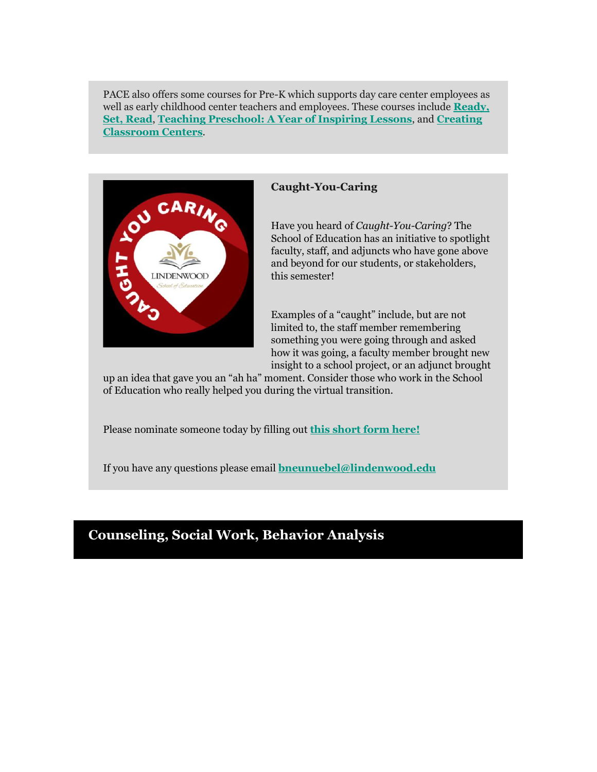PACE also offers some courses for Pre-K which supports day care center employees as well as early childhood center teachers and employees. These courses include **[Ready,](http://r20.rs6.net/tn.jsp?f=001N2pj85w2UfS8mNZ0g1t27SijS3gEYM3id4ymBeMf73JctJN0rRZRyKkeMlJVpUBARzSTHzncYVhIf2bxRz6g6xce3qzq1iVQHzrYCAerQ-uF_LGZA-WkgsfFqr6-0aLx1ZusJHMVefbx7H4GsuiwhFJMoNZ_SkAx3fvkVpMDCFiyoFyAHILNKDqln9BveXAfMA6FNt2b5N0=&c=bpBDr0UTT6OaUIWP60xGxPcH1DiV2cksCl_sEmpSKC-njm-bn-JHBg==&ch=hAqrXvCAFM4nfY6T-TvmTzf7A_qu-MzjcgWStdVCrJqcUa4uoeyV-A==)  [Set, Read](http://r20.rs6.net/tn.jsp?f=001N2pj85w2UfS8mNZ0g1t27SijS3gEYM3id4ymBeMf73JctJN0rRZRyKkeMlJVpUBARzSTHzncYVhIf2bxRz6g6xce3qzq1iVQHzrYCAerQ-uF_LGZA-WkgsfFqr6-0aLx1ZusJHMVefbx7H4GsuiwhFJMoNZ_SkAx3fvkVpMDCFiyoFyAHILNKDqln9BveXAfMA6FNt2b5N0=&c=bpBDr0UTT6OaUIWP60xGxPcH1DiV2cksCl_sEmpSKC-njm-bn-JHBg==&ch=hAqrXvCAFM4nfY6T-TvmTzf7A_qu-MzjcgWStdVCrJqcUa4uoeyV-A==)**, **[Teaching Preschool: A Year of Inspiring Lessons](http://r20.rs6.net/tn.jsp?f=001N2pj85w2UfS8mNZ0g1t27SijS3gEYM3id4ymBeMf73JctJN0rRZRyKkeMlJVpUBAosYPDDNRRFHbCCcPTgIIfPnKLHQLJqUfoKqL6AJmYG9klXusaTGJ9-dnjhmNDGl4Z8wS-uSdMy2aB0rHjdzld7XLf-FbludqrGZ4t1CVbOplca8elFlDcO8GxpoJwP7INZAE06ea17gcSj3nnynf0g==&c=bpBDr0UTT6OaUIWP60xGxPcH1DiV2cksCl_sEmpSKC-njm-bn-JHBg==&ch=hAqrXvCAFM4nfY6T-TvmTzf7A_qu-MzjcgWStdVCrJqcUa4uoeyV-A==)**, and **[Creating](http://r20.rs6.net/tn.jsp?f=001N2pj85w2UfS8mNZ0g1t27SijS3gEYM3id4ymBeMf73JctJN0rRZRyKkeMlJVpUBAoUS7QayCK5fruDQ1uhyKlzYkQFbEJC8E2HvM0olf6e_rJKzNmMwIkNl-iRhW4AVtIkaqt2xKe09G643cVn4fzf7oo3FdVdU_hkAmFvQx9CDWfMzLQJ6D-RhuTweRCHIJVoM0hllX-czuOzL43wj3bxabHUJrtUdk&c=bpBDr0UTT6OaUIWP60xGxPcH1DiV2cksCl_sEmpSKC-njm-bn-JHBg==&ch=hAqrXvCAFM4nfY6T-TvmTzf7A_qu-MzjcgWStdVCrJqcUa4uoeyV-A==)  [Classroom Centers](http://r20.rs6.net/tn.jsp?f=001N2pj85w2UfS8mNZ0g1t27SijS3gEYM3id4ymBeMf73JctJN0rRZRyKkeMlJVpUBAoUS7QayCK5fruDQ1uhyKlzYkQFbEJC8E2HvM0olf6e_rJKzNmMwIkNl-iRhW4AVtIkaqt2xKe09G643cVn4fzf7oo3FdVdU_hkAmFvQx9CDWfMzLQJ6D-RhuTweRCHIJVoM0hllX-czuOzL43wj3bxabHUJrtUdk&c=bpBDr0UTT6OaUIWP60xGxPcH1DiV2cksCl_sEmpSKC-njm-bn-JHBg==&ch=hAqrXvCAFM4nfY6T-TvmTzf7A_qu-MzjcgWStdVCrJqcUa4uoeyV-A==)**.



## **Caught-You-Caring**

Have you heard of *Caught-You-Caring*? The School of Education has an initiative to spotlight faculty, staff, and adjuncts who have gone above and beyond for our students, or stakeholders, this semester!

Examples of a "caught" include, but are not limited to, the staff member remembering something you were going through and asked how it was going, a faculty member brought new insight to a school project, or an adjunct brought

up an idea that gave you an "ah ha" moment. Consider those who work in the School of Education who really helped you during the virtual transition.

Please nominate someone today by filling out **[this short form here!](http://r20.rs6.net/tn.jsp?f=001N2pj85w2UfS8mNZ0g1t27SijS3gEYM3id4ymBeMf73JctJN0rRZRyKkeMlJVpUBAZpudGPNcwy8luhClnG2i9pSeYLHSH-vxrei_kBTFdSEaJ7w63s12zjo-HtE8SmEz1FtrMrCUndRQUOTd00gkunacM2xlziQ7&c=bpBDr0UTT6OaUIWP60xGxPcH1DiV2cksCl_sEmpSKC-njm-bn-JHBg==&ch=hAqrXvCAFM4nfY6T-TvmTzf7A_qu-MzjcgWStdVCrJqcUa4uoeyV-A==)**

If you have any questions please email **[bneunuebel@lindenwood.edu](mailto:bneunuebel@lindenwood.edu)**

## **Counseling, Social Work, Behavior Analysis**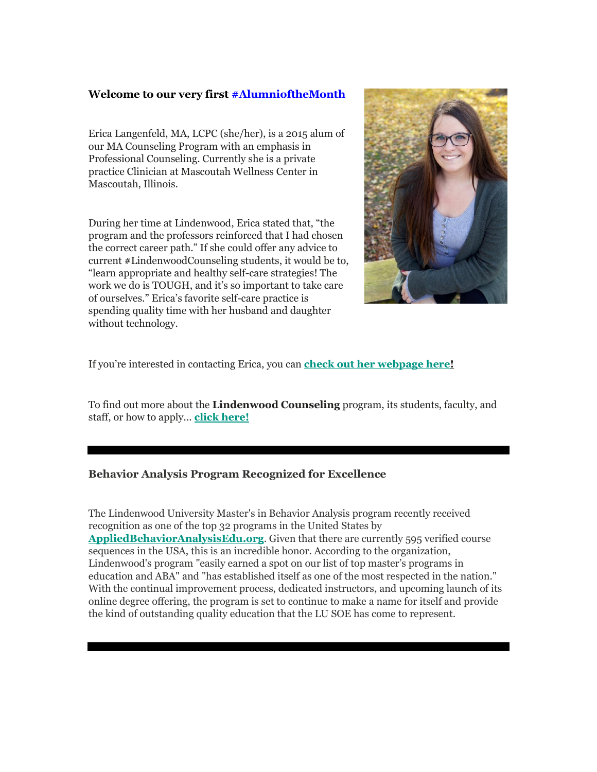## **Welcome to our very first [#AlumnioftheMonth](http://r20.rs6.net/tn.jsp?f=001N2pj85w2UfS8mNZ0g1t27SijS3gEYM3id4ymBeMf73JctJN0rRZRyKkeMlJVpUBAchUCIGKTTnjtFD2UDW6r606HU47hKVuO-tNDIiO6JQ8i8wVWGCbdFBLnPTZ0UEZ4SWwCSC-zLbq9xOSWw4OZMWlKMYQGUgjiJ8QiS2n3X1WbMq3SYw0XMJAMY6RDrsnpg9wQljdlXSbCeznjgNl-c-P_ifutbAxQCdDPBAzbEbAkdMGlwO_JC3px1lLE74rvfJoRRCGs02X8kpdNcG5cT10Qm0hWPKtms1fCtJtlka-qOsi35c5Gl36djNIs8Ysb5ZU2sISI3-56QssjAcE-M6Wri2pzlXbwN786r-C4DmzGtLO0oagCjFUjwwxlWKmWgggrkUkNkeUhP0di2RzEZm6xSfwDLy3l_Dy-ltHwX4Y=&c=bpBDr0UTT6OaUIWP60xGxPcH1DiV2cksCl_sEmpSKC-njm-bn-JHBg==&ch=hAqrXvCAFM4nfY6T-TvmTzf7A_qu-MzjcgWStdVCrJqcUa4uoeyV-A==)**

Erica Langenfeld, MA, LCPC (she/her), is a 2015 alum of our MA Counseling Program with an emphasis in Professional Counseling. Currently she is a private practice Clinician at Mascoutah Wellness Center in Mascoutah, Illinois.

During her time at Lindenwood, Erica stated that, "the program and the professors reinforced that I had chosen the correct career path." If she could offer any advice to current #LindenwoodCounseling students, it would be to, "learn appropriate and healthy self-care strategies! The work we do is TOUGH, and it's so important to take care of ourselves." Erica's favorite self-care practice is spending quality time with her husband and daughter without technology.



If you're interested in contacting Erica, you can **[check out her webpage here!](http://r20.rs6.net/tn.jsp?f=001N2pj85w2UfS8mNZ0g1t27SijS3gEYM3id4ymBeMf73JctJN0rRZRyKkeMlJVpUBA8U0-UgaL5RG4UqWsXf0rThvKRjbMFmDsfWpWE6qkzvMyTHi_6LFrXcz7BGllQCTXcnlrazOHZo8DJNNsxHoY2HiXHf4nuOF26OCXFsljGTn-a5P_Z2FieVcSuWuFTUs4N9LndvsWe5ZVXX9AvEJyhWZjvsT2HkK0V82zDo8wNvEezsgfpiOYfVZG5GusBZLRQnwtUTu4bK5COmkHvzI0mivovY-x8K3Z_vsVn208sqtMpT8-8XGeilVQGlusBGL-5eCIll6s5lo=&c=bpBDr0UTT6OaUIWP60xGxPcH1DiV2cksCl_sEmpSKC-njm-bn-JHBg==&ch=hAqrXvCAFM4nfY6T-TvmTzf7A_qu-MzjcgWStdVCrJqcUa4uoeyV-A==)**

To find out more about the **[Lindenwood Counseling](http://r20.rs6.net/tn.jsp?f=001N2pj85w2UfS8mNZ0g1t27SijS3gEYM3id4ymBeMf73JctJN0rRZRyKkeMlJVpUBAMHN7JflslNMEHjWLG7NwJh6J4Z4BpOBt6MlYoU_yEm4_I33jQdEb1NvazDI49rtVX7I1xjpdiJFuxjYvywVRIS12WaBSjVzNX7fgu2JXT9uFZpFwLrxUp5pKEJGHYviIDB1QSn7e7bDrBja5mQS_Ldu7JoIuufd9I0pBOpSjNp3C48dZNKlCzIbrzzOlO3ZxX6fKDK_7KEx2nKbwES-ASqx_k8fAg_rvcmXy0hqO-Ozf1_ft9RtvhtBs71YjukavDodZ-VSNDuCIYmfw8GEc4o90zbIHrmha4EJjMjYGD3vjDSeVFFgRRzOn1PjCtB8Xnxbl5vnCIzXjgquzsJxHiN3ay52MDO_hbbxJo5L0sPxShWGuGDkF3Tffe0XC-v_WMP85ju7MtE4=&c=bpBDr0UTT6OaUIWP60xGxPcH1DiV2cksCl_sEmpSKC-njm-bn-JHBg==&ch=hAqrXvCAFM4nfY6T-TvmTzf7A_qu-MzjcgWStdVCrJqcUa4uoeyV-A==)** program, its students, faculty, and staff, or how to apply... **[click here!](http://r20.rs6.net/tn.jsp?f=001N2pj85w2UfS8mNZ0g1t27SijS3gEYM3id4ymBeMf73JctJN0rRZRyKkeMlJVpUBAH9lomsZDfTKiXWQtIIHYZr8f5-i9zIj2fR4KvyRchN2Tc7qqSN7NNEtkpXr61LX-2e5lmj0qHt9H5fZR1Q1NOUQj-NhikF5rGTspLLWwKzahf_BxQ0D-Ph2KH1qe6GKJZYvL2bzQet3Lr-v7syLzKnMbggPdBWwCSJ02wNLuzyJ7Xdsn9s6VWByXU60Qt_QoySd_6USg3kE8-WWxOhCQOcQfzDJM6WSkc4hTsgz9ot-k3wApB5Bai5flVR4FycvCGHuWO41jiQ8E4sv5Lhhv_mTv8e3iHb2J&c=bpBDr0UTT6OaUIWP60xGxPcH1DiV2cksCl_sEmpSKC-njm-bn-JHBg==&ch=hAqrXvCAFM4nfY6T-TvmTzf7A_qu-MzjcgWStdVCrJqcUa4uoeyV-A==)**

## **Behavior Analysis Program Recognized for Excellence**

The Lindenwood University Master's in Behavior Analysis program recently received recognition as one of the top 32 programs in the United States by **[AppliedBehaviorAnalysisEdu.org](http://r20.rs6.net/tn.jsp?f=001N2pj85w2UfS8mNZ0g1t27SijS3gEYM3id4ymBeMf73JctJN0rRZRyKkeMlJVpUBAanyYW9iMA3bZQ3CbzJmyy1dlCA9RjhHKQ26vh1-3lWrnZa1fG9OQbBh_J8KSPtPIR5fzxr97sFDeTSxVodmBiAS4ptsSXYy8&c=bpBDr0UTT6OaUIWP60xGxPcH1DiV2cksCl_sEmpSKC-njm-bn-JHBg==&ch=hAqrXvCAFM4nfY6T-TvmTzf7A_qu-MzjcgWStdVCrJqcUa4uoeyV-A==)**. Given that there are currently 595 verified course sequences in the USA, this is an incredible honor. According to the organization, Lindenwood's program "easily earned a spot on our list of top master's programs in education and ABA" and "has established itself as one of the most respected in the nation." With the continual improvement process, dedicated instructors, and upcoming launch of its online degree offering, the program is set to continue to make a name for itself and provide the kind of outstanding quality education that the LU SOE has come to represent.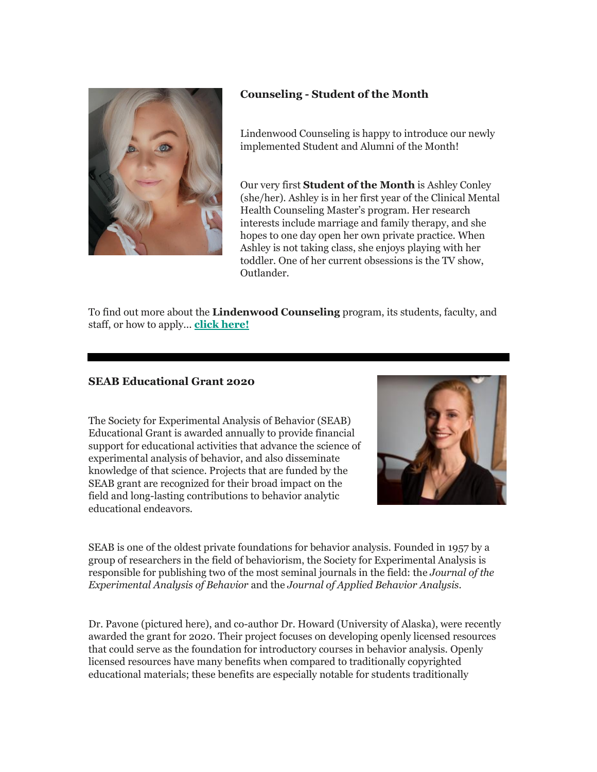

## **Counseling - Student of the Month**

Lindenwood Counseling is happy to introduce our newly implemented Student and Alumni of the Month!

Our very first **[Student of the Month](http://r20.rs6.net/tn.jsp?f=001N2pj85w2UfS8mNZ0g1t27SijS3gEYM3id4ymBeMf73JctJN0rRZRyKkeMlJVpUBAxLXBrVNX0DqMEuBPZupAJep2GE9pmi_qf5YKXv-mulcuk7Y2zPBRa9e5IycIcJr3AycP4vkJZ0-w94PGx6mwcvL58TaspN_SLgwwrBU7gUUrkIk79jFS8EjkOGWGjBBbRTGBovgrxy9quPd7iCJqYvR-2OMQQ3KN6VlMgehHASxPmv59NpshelcWJriHUSDMkpIdT6Jt1BT5csX5Ou1qqnRTkpv9iACrx6tKr9w1fITcln5TWd4yOdB2ypLFlntVsGt0lclK6LWWvZALs9DEaGjm62qsrvrOF8JaDa_KK1c2hEFfOG0tmcFfeXw4hkxhdUVT2gcqeVRlDQ7cU29aloATGG4jDGlddzf0Rlwvpn8og5v9_7gV6yiHejQBoeTCzdrU0jqRs9w=&c=bpBDr0UTT6OaUIWP60xGxPcH1DiV2cksCl_sEmpSKC-njm-bn-JHBg==&ch=hAqrXvCAFM4nfY6T-TvmTzf7A_qu-MzjcgWStdVCrJqcUa4uoeyV-A==)** is Ashley Conley (she/her). Ashley is in her first year of the Clinical Mental Health Counseling Master's program. Her research interests include marriage and family therapy, and she hopes to one day open her own private practice. When Ashley is not taking class, she enjoys playing with her toddler. One of her current obsessions is the TV show, Outlander.

To find out more about the **[Lindenwood Counseling](http://r20.rs6.net/tn.jsp?f=001N2pj85w2UfS8mNZ0g1t27SijS3gEYM3id4ymBeMf73JctJN0rRZRyKkeMlJVpUBAMHN7JflslNMEHjWLG7NwJh6J4Z4BpOBt6MlYoU_yEm4_I33jQdEb1NvazDI49rtVX7I1xjpdiJFuxjYvywVRIS12WaBSjVzNX7fgu2JXT9uFZpFwLrxUp5pKEJGHYviIDB1QSn7e7bDrBja5mQS_Ldu7JoIuufd9I0pBOpSjNp3C48dZNKlCzIbrzzOlO3ZxX6fKDK_7KEx2nKbwES-ASqx_k8fAg_rvcmXy0hqO-Ozf1_ft9RtvhtBs71YjukavDodZ-VSNDuCIYmfw8GEc4o90zbIHrmha4EJjMjYGD3vjDSeVFFgRRzOn1PjCtB8Xnxbl5vnCIzXjgquzsJxHiN3ay52MDO_hbbxJo5L0sPxShWGuGDkF3Tffe0XC-v_WMP85ju7MtE4=&c=bpBDr0UTT6OaUIWP60xGxPcH1DiV2cksCl_sEmpSKC-njm-bn-JHBg==&ch=hAqrXvCAFM4nfY6T-TvmTzf7A_qu-MzjcgWStdVCrJqcUa4uoeyV-A==)** program, its students, faculty, and staff, or how to apply... **[click here!](http://r20.rs6.net/tn.jsp?f=001N2pj85w2UfS8mNZ0g1t27SijS3gEYM3id4ymBeMf73JctJN0rRZRyKkeMlJVpUBAH9lomsZDfTKiXWQtIIHYZr8f5-i9zIj2fR4KvyRchN2Tc7qqSN7NNEtkpXr61LX-2e5lmj0qHt9H5fZR1Q1NOUQj-NhikF5rGTspLLWwKzahf_BxQ0D-Ph2KH1qe6GKJZYvL2bzQet3Lr-v7syLzKnMbggPdBWwCSJ02wNLuzyJ7Xdsn9s6VWByXU60Qt_QoySd_6USg3kE8-WWxOhCQOcQfzDJM6WSkc4hTsgz9ot-k3wApB5Bai5flVR4FycvCGHuWO41jiQ8E4sv5Lhhv_mTv8e3iHb2J&c=bpBDr0UTT6OaUIWP60xGxPcH1DiV2cksCl_sEmpSKC-njm-bn-JHBg==&ch=hAqrXvCAFM4nfY6T-TvmTzf7A_qu-MzjcgWStdVCrJqcUa4uoeyV-A==)**

## **SEAB Educational Grant 2020**

The Society for Experimental Analysis of Behavior (SEAB) Educational Grant is awarded annually to provide financial support for educational activities that advance the science of experimental analysis of behavior, and also disseminate knowledge of that science. Projects that are funded by the SEAB grant are recognized for their broad impact on the field and long-lasting contributions to behavior analytic educational endeavors.



SEAB is one of the oldest private foundations for behavior analysis. Founded in 1957 by a group of researchers in the field of behaviorism, the Society for Experimental Analysis is responsible for publishing two of the most seminal journals in the field: the *Journal of the Experimental Analysis of Behavior* and the *Journal of Applied Behavior Analysis.*

Dr. Pavone (pictured here), and co-author Dr. Howard (University of Alaska), were recently awarded the grant for 2020. Their project focuses on developing openly licensed resources that could serve as the foundation for introductory courses in behavior analysis. Openly licensed resources have many benefits when compared to traditionally copyrighted educational materials; these benefits are especially notable for students traditionally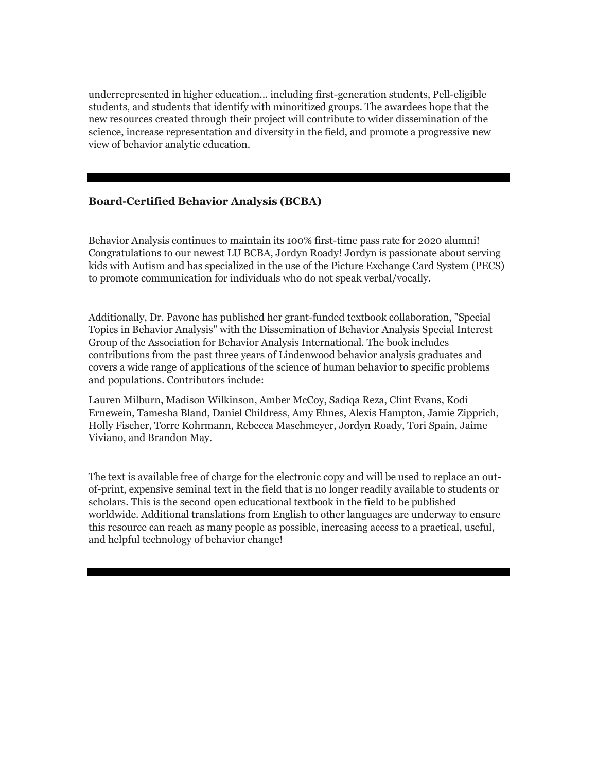underrepresented in higher education... including first-generation students, Pell-eligible students, and students that identify with minoritized groups. The awardees hope that the new resources created through their project will contribute to wider dissemination of the science, increase representation and diversity in the field, and promote a progressive new view of behavior analytic education.

## **Board-Certified Behavior Analysis (BCBA)**

Behavior Analysis continues to maintain its 100% first-time pass rate for 2020 alumni! Congratulations to our newest LU BCBA, Jordyn Roady! Jordyn is passionate about serving kids with Autism and has specialized in the use of the Picture Exchange Card System (PECS) to promote communication for individuals who do not speak verbal/vocally.

Additionally, Dr. Pavone has published her grant-funded textbook collaboration, "Special Topics in Behavior Analysis" with the Dissemination of Behavior Analysis Special Interest Group of the Association for Behavior Analysis International. The book includes contributions from the past three years of Lindenwood behavior analysis graduates and covers a wide range of applications of the science of human behavior to specific problems and populations. Contributors include:

Lauren Milburn, Madison Wilkinson, Amber McCoy, Sadiqa Reza, Clint Evans, Kodi Ernewein, Tamesha Bland, Daniel Childress, Amy Ehnes, Alexis Hampton, Jamie Zipprich, Holly Fischer, Torre Kohrmann, Rebecca Maschmeyer, Jordyn Roady, Tori Spain, Jaime Viviano, and Brandon May.

The text is available free of charge for the electronic copy and will be used to replace an outof-print, expensive seminal text in the field that is no longer readily available to students or scholars. This is the second open educational textbook in the field to be published worldwide. Additional translations from English to other languages are underway to ensure this resource can reach as many people as possible, increasing access to a practical, useful, and helpful technology of behavior change!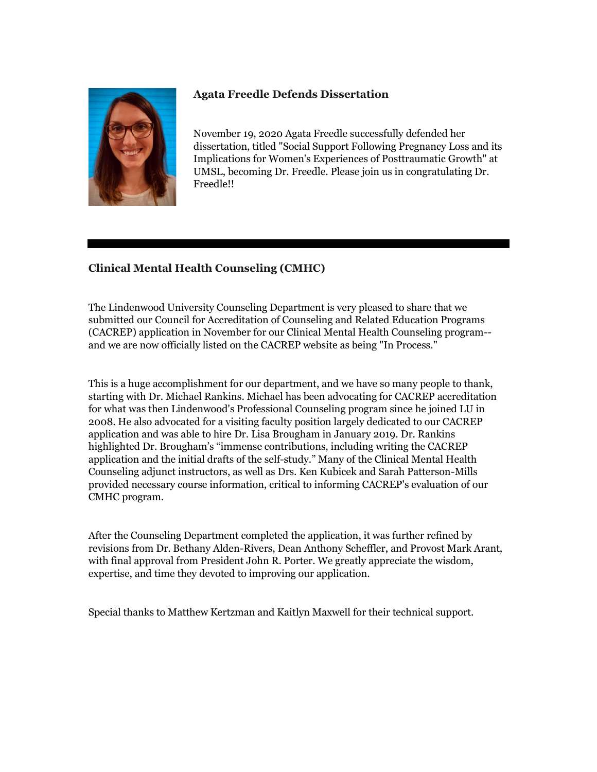

## **Agata Freedle Defends Dissertation**

November 19, 2020 Agata Freedle successfully defended her dissertation, titled "Social Support Following Pregnancy Loss and its Implications for Women's Experiences of Posttraumatic Growth" at UMSL, becoming Dr. Freedle. Please join us in congratulating Dr. Freedle!!

## **Clinical Mental Health Counseling (CMHC)**

The Lindenwood University Counseling Department is very pleased to share that we submitted our Council for Accreditation of Counseling and Related Education Programs (CACREP) application in November for our Clinical Mental Health Counseling program- and we are now officially listed on the CACREP website as being "In Process."

This is a huge accomplishment for our department, and we have so many people to thank, starting with Dr. Michael Rankins. Michael has been advocating for CACREP accreditation for what was then Lindenwood's Professional Counseling program since he joined LU in 2008. He also advocated for a visiting faculty position largely dedicated to our CACREP application and was able to hire Dr. Lisa Brougham in January 2019. Dr. Rankins highlighted Dr. Brougham's "immense contributions, including writing the CACREP application and the initial drafts of the self-study." Many of the Clinical Mental Health Counseling adjunct instructors, as well as Drs. Ken Kubicek and Sarah Patterson-Mills provided necessary course information, critical to informing CACREP's evaluation of our CMHC program.

After the Counseling Department completed the application, it was further refined by revisions from Dr. Bethany Alden-Rivers, Dean Anthony Scheffler, and Provost Mark Arant, with final approval from President John R. Porter. We greatly appreciate the wisdom, expertise, and time they devoted to improving our application.

Special thanks to Matthew Kertzman and Kaitlyn Maxwell for their technical support.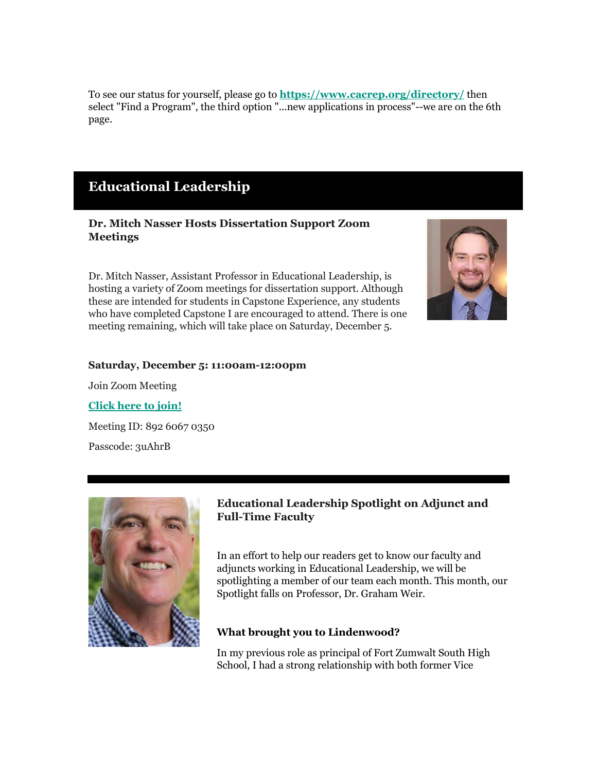To see our status for yourself, please go to **[https://www.cacrep.org/directory/](http://r20.rs6.net/tn.jsp?f=001N2pj85w2UfS8mNZ0g1t27SijS3gEYM3id4ymBeMf73JctJN0rRZRyKkeMlJVpUBAMGsO90hlbGK7dOjvzLuftXHmEbne49oRL8rtlovmXhxpf5wyC3FOMDRudhG7P3ToXqd5xca-6iCdWlZe7_kLLXTqoL5qx5My&c=bpBDr0UTT6OaUIWP60xGxPcH1DiV2cksCl_sEmpSKC-njm-bn-JHBg==&ch=hAqrXvCAFM4nfY6T-TvmTzf7A_qu-MzjcgWStdVCrJqcUa4uoeyV-A==)** then select "Find a Program", the third option "...new applications in process"--we are on the 6th page.

## **Educational Leadership**

## **Dr. Mitch Nasser Hosts Dissertation Support Zoom Meetings**

Dr. Mitch Nasser, Assistant Professor in Educational Leadership, is hosting a variety of Zoom meetings for dissertation support. Although these are intended for students in Capstone Experience, any students who have completed Capstone I are encouraged to attend. There is one meeting remaining, which will take place on Saturday, December 5.



#### **Saturday, December 5: 11:00am-12:00pm**

Join Zoom Meeting

#### **[Click here to join!](http://r20.rs6.net/tn.jsp?f=001N2pj85w2UfS8mNZ0g1t27SijS3gEYM3id4ymBeMf73JctJN0rRZRyIVBIJ2isVeNhAmFj9qBMLFPzWefJVs1Bv-g4YsuFPMql8rzfDrg3E4rzxvoCdTyEMvebSsJni6l2kRJhKmgqybbhHu3uGtE50-2QSTIft3-WpkSMDRJMjKQB9oEMZZEZBoy5yzvhzgzczdw8u4xHq--HF_uf3kR5AHbg3RKr8rl&c=bpBDr0UTT6OaUIWP60xGxPcH1DiV2cksCl_sEmpSKC-njm-bn-JHBg==&ch=hAqrXvCAFM4nfY6T-TvmTzf7A_qu-MzjcgWStdVCrJqcUa4uoeyV-A==)**

Meeting ID: 892 6067 0350 Passcode: 3uAhrB



## **Educational Leadership Spotlight on Adjunct and Full-Time Faculty**

In an effort to help our readers get to know our faculty and adjuncts working in Educational Leadership, we will be spotlighting a member of our team each month. This month, our Spotlight falls on Professor, Dr. Graham Weir.

## **What brought you to Lindenwood?**

In my previous role as principal of Fort Zumwalt South High School, I had a strong relationship with both former Vice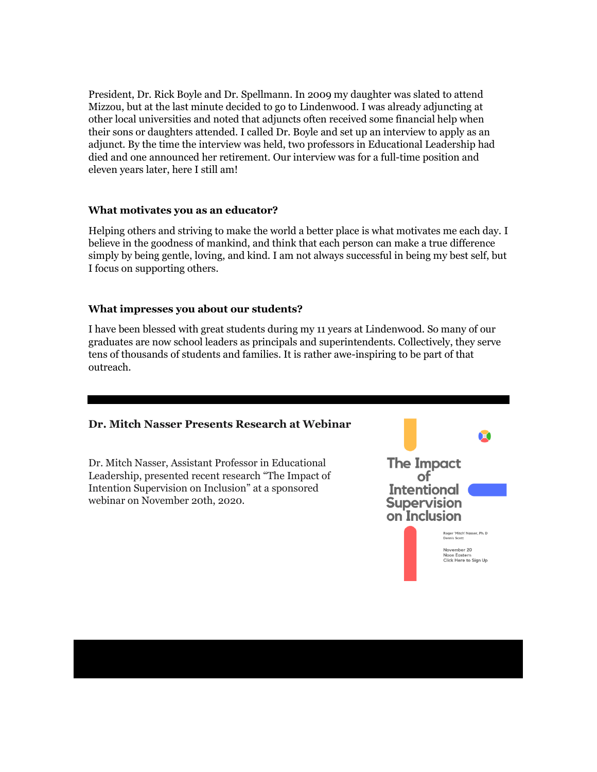President, Dr. Rick Boyle and Dr. Spellmann. In 2009 my daughter was slated to attend Mizzou, but at the last minute decided to go to Lindenwood. I was already adjuncting at other local universities and noted that adjuncts often received some financial help when their sons or daughters attended. I called Dr. Boyle and set up an interview to apply as an adjunct. By the time the interview was held, two professors in Educational Leadership had died and one announced her retirement. Our interview was for a full-time position and eleven years later, here I still am!

#### **What motivates you as an educator?**

Helping others and striving to make the world a better place is what motivates me each day. I believe in the goodness of mankind, and think that each person can make a true difference simply by being gentle, loving, and kind. I am not always successful in being my best self, but I focus on supporting others.

## **What impresses you about our students?**

I have been blessed with great students during my 11 years at Lindenwood. So many of our graduates are now school leaders as principals and superintendents. Collectively, they serve tens of thousands of students and families. It is rather awe-inspiring to be part of that outreach.

## **Dr. Mitch Nasser Presents Research at Webinar**

Dr. Mitch Nasser, Assistant Professor in Educational Leadership, presented recent research "The Impact of Intention Supervision on Inclusion" at a sponsored webinar on November 20th, 2020.

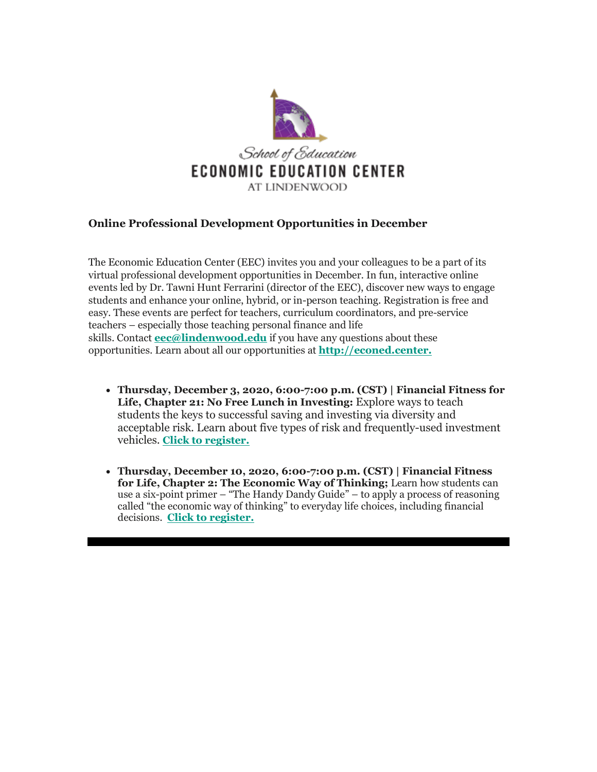

## **Online Professional Development Opportunities in December**

The Economic Education Center (EEC) invites you and your colleagues to be a part of its virtual professional development opportunities in December. In fun, interactive online events led by Dr. Tawni Hunt Ferrarini (director of the EEC), discover new ways to engage students and enhance your online, hybrid, or in-person teaching. Registration is free and easy. These events are perfect for teachers, curriculum coordinators, and pre-service teachers – especially those teaching personal finance and life skills. Contact **[eec@lindenwood.edu](mailto:eec@lindenwood.edu)** if you have any questions about these opportunities. Learn about all our opportunities at **[http://econed.center.](http://r20.rs6.net/tn.jsp?f=001N2pj85w2UfS8mNZ0g1t27SijS3gEYM3id4ymBeMf73JctJN0rRZRyKkeMlJVpUBALNurWIbLb64KiJaNHfrXod5uXjJcxPfXPzB_pBWvD_QVuy6qEJyLzAEKgZzbE8oWl2BQS4TEVs0=&c=bpBDr0UTT6OaUIWP60xGxPcH1DiV2cksCl_sEmpSKC-njm-bn-JHBg==&ch=hAqrXvCAFM4nfY6T-TvmTzf7A_qu-MzjcgWStdVCrJqcUa4uoeyV-A==)**

- **Thursday, December 3, 2020, 6:00-7:00 p.m. (CST) | Financial Fitness for**  Life, Chapter 21: No Free Lunch in Investing: Explore ways to teach students the keys to successful saving and investing via diversity and acceptable risk. Learn about five types of risk and frequently-used investment vehicles. **[Click to register.](http://r20.rs6.net/tn.jsp?f=001N2pj85w2UfS8mNZ0g1t27SijS3gEYM3id4ymBeMf73JctJN0rRZRyKkeMlJVpUBA7oiWyfTTXPpt-sCgQuh0AsuwKsBP7q6Ic740hyw2Q9k8jvxxR1slbScOYFciHvPT1glgpviyTkUer6uY1kVPlcHs_nHucUV8bTwaKF9wGyKKE0Mn0kSd7tjmVUvb1BL7dW-Ks0DNHH-EhOOse6ArRdqgDdNAjq7m2QlqeuAlFlpT5tRzHq8vJMB8DtlBp3fN&c=bpBDr0UTT6OaUIWP60xGxPcH1DiV2cksCl_sEmpSKC-njm-bn-JHBg==&ch=hAqrXvCAFM4nfY6T-TvmTzf7A_qu-MzjcgWStdVCrJqcUa4uoeyV-A==)**
- **Thursday, December 10, 2020, 6:00-7:00 p.m. (CST) | Financial Fitness for Life, Chapter 2: The Economic Way of Thinking;** Learn how students can use a six-point primer – "The Handy Dandy Guide" – to apply a process of reasoning called "the economic way of thinking" to everyday life choices, including financial decisions. **[Click to register.](http://r20.rs6.net/tn.jsp?f=001N2pj85w2UfS8mNZ0g1t27SijS3gEYM3id4ymBeMf73JctJN0rRZRyKkeMlJVpUBA7oiWyfTTXPpt-sCgQuh0AsuwKsBP7q6Ic740hyw2Q9k8jvxxR1slbScOYFciHvPT1glgpviyTkUer6uY1kVPlcHs_nHucUV8bTwaKF9wGyKKE0Mn0kSd7tjmVUvb1BL7dW-Ks0DNHH-EhOOse6ArRdqgDdNAjq7m2QlqeuAlFlpT5tRzHq8vJMB8DtlBp3fN&c=bpBDr0UTT6OaUIWP60xGxPcH1DiV2cksCl_sEmpSKC-njm-bn-JHBg==&ch=hAqrXvCAFM4nfY6T-TvmTzf7A_qu-MzjcgWStdVCrJqcUa4uoeyV-A==)**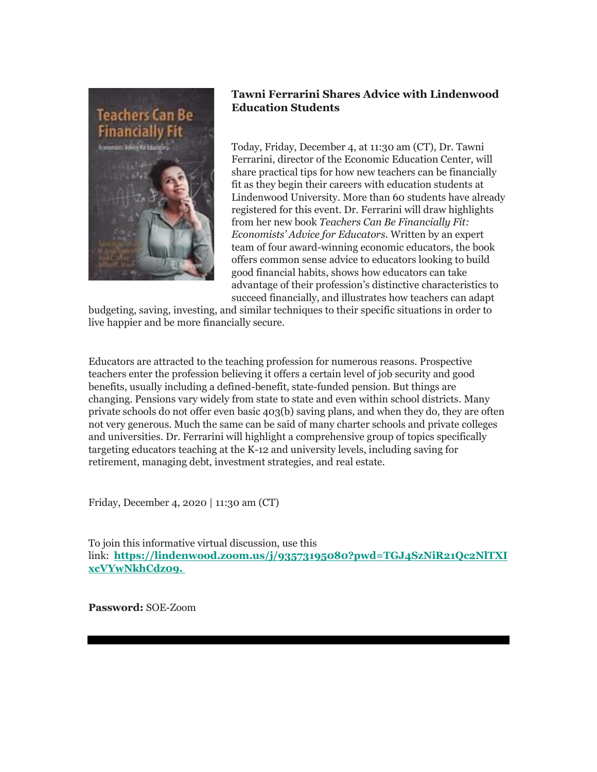

## **Tawni Ferrarini Shares Advice with Lindenwood Education Students**

Today, Friday, December 4, at 11:30 am (CT), Dr. Tawni Ferrarini, director of the Economic Education Center, will share practical tips for how new teachers can be financially fit as they begin their careers with education students at Lindenwood University. More than 60 students have already registered for this event. Dr. Ferrarini will draw highlights from her new book *Teachers Can Be Financially Fit: Economists' Advice for Educators*. Written by an expert team of four award-winning economic educators, the book offers common sense advice to educators looking to build good financial habits, shows how educators can take advantage of their profession's distinctive characteristics to succeed financially, and illustrates how teachers can adapt

budgeting, saving, investing, and similar techniques to their specific situations in order to live happier and be more financially secure.

Educators are attracted to the teaching profession for numerous reasons. Prospective teachers enter the profession believing it offers a certain level of job security and good benefits, usually including a defined-benefit, state-funded pension. But things are changing. Pensions vary widely from state to state and even within school districts. Many private schools do not offer even basic 403(b) saving plans, and when they do, they are often not very generous. Much the same can be said of many charter schools and private colleges and universities. Dr. Ferrarini will highlight a comprehensive group of topics specifically targeting educators teaching at the K-12 and university levels, including saving for retirement, managing debt, investment strategies, and real estate.

Friday, December 4, 2020 | 11:30 am (CT)

To join this informative virtual discussion, use this link: **[https://lindenwood.zoom.us/j/93573195080?pwd=TGJ4SzNiR21Qc2NlTXI](http://r20.rs6.net/tn.jsp?f=001N2pj85w2UfS8mNZ0g1t27SijS3gEYM3id4ymBeMf73JctJN0rRZRyKkeMlJVpUBA927GvgNOkOqwEzq4GsLXLJQqM__Oj3ViR2Swh-SYNgpHfdH8LCptxa4niDeq0L6bBk0FM5qO4OYYhRDSXwxkf5Oc_F_k0WBBOCch9UdVyEJI1LG9NIJ4QfQkdoaEZEVen3fW5KrbxxSnbhjCAGMTMxMlBRcdVaLr&c=bpBDr0UTT6OaUIWP60xGxPcH1DiV2cksCl_sEmpSKC-njm-bn-JHBg==&ch=hAqrXvCAFM4nfY6T-TvmTzf7A_qu-MzjcgWStdVCrJqcUa4uoeyV-A==) [xcVYwNkhCdz09.](http://r20.rs6.net/tn.jsp?f=001N2pj85w2UfS8mNZ0g1t27SijS3gEYM3id4ymBeMf73JctJN0rRZRyKkeMlJVpUBA927GvgNOkOqwEzq4GsLXLJQqM__Oj3ViR2Swh-SYNgpHfdH8LCptxa4niDeq0L6bBk0FM5qO4OYYhRDSXwxkf5Oc_F_k0WBBOCch9UdVyEJI1LG9NIJ4QfQkdoaEZEVen3fW5KrbxxSnbhjCAGMTMxMlBRcdVaLr&c=bpBDr0UTT6OaUIWP60xGxPcH1DiV2cksCl_sEmpSKC-njm-bn-JHBg==&ch=hAqrXvCAFM4nfY6T-TvmTzf7A_qu-MzjcgWStdVCrJqcUa4uoeyV-A==)**

**Password:** SOE-Zoom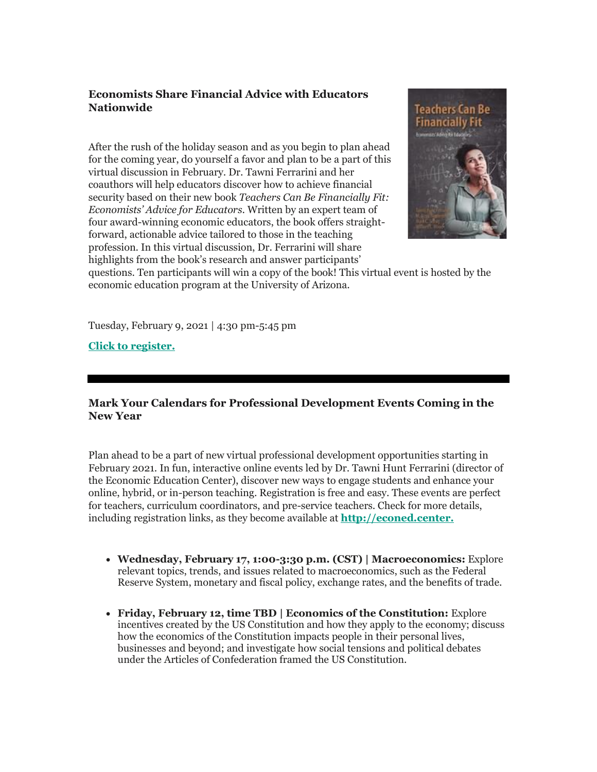## **Economists Share Financial Advice with Educators Nationwide**

After the rush of the holiday season and as you begin to plan ahead for the coming year, do yourself a favor and plan to be a part of this virtual discussion in February. Dr. Tawni Ferrarini and her coauthors will help educators discover how to achieve financial security based on their new book *Teachers Can Be Financially Fit: Economists' Advice for Educators*. Written by an expert team of four award-winning economic educators, the book offers straightforward, actionable advice tailored to those in the teaching profession. In this virtual discussion, Dr. Ferrarini will share highlights from the book's research and answer participants'



questions. Ten participants will win a copy of the book! This virtual event is hosted by the economic education program at the University of Arizona.

Tuesday, February 9, 2021 | 4:30 pm-5:45 pm

**[Click to register.](http://r20.rs6.net/tn.jsp?f=001N2pj85w2UfS8mNZ0g1t27SijS3gEYM3id4ymBeMf73JctJN0rRZRyKkeMlJVpUBAzPK2UBPS0EMqtW8bNYCNWR6jS4RVTip9duIqdXNVNURQb1-mebPmq_AfPOCBztQx45az2TsWMq_1mxw2zcHY6n2Kg_G3cXLGyctbPOjaIXJIpCBDcUl2jjeLot3xpXmggm203ux868E=&c=bpBDr0UTT6OaUIWP60xGxPcH1DiV2cksCl_sEmpSKC-njm-bn-JHBg==&ch=hAqrXvCAFM4nfY6T-TvmTzf7A_qu-MzjcgWStdVCrJqcUa4uoeyV-A==)**

## **Mark Your Calendars for Professional Development Events Coming in the New Year**

Plan ahead to be a part of new virtual professional development opportunities starting in February 2021. In fun, interactive online events led by Dr. Tawni Hunt Ferrarini (director of the Economic Education Center), discover new ways to engage students and enhance your online, hybrid, or in-person teaching. Registration is free and easy. These events are perfect for teachers, curriculum coordinators, and pre-service teachers. Check for more details, including registration links, as they become available at **[http://econed.center.](http://r20.rs6.net/tn.jsp?f=001N2pj85w2UfS8mNZ0g1t27SijS3gEYM3id4ymBeMf73JctJN0rRZRyKkeMlJVpUBALNurWIbLb64KiJaNHfrXod5uXjJcxPfXPzB_pBWvD_QVuy6qEJyLzAEKgZzbE8oWl2BQS4TEVs0=&c=bpBDr0UTT6OaUIWP60xGxPcH1DiV2cksCl_sEmpSKC-njm-bn-JHBg==&ch=hAqrXvCAFM4nfY6T-TvmTzf7A_qu-MzjcgWStdVCrJqcUa4uoeyV-A==)**

- **Wednesday, February 17, 1:00-3:30 p.m. (CST) | Macroeconomics:** Explore relevant topics, trends, and issues related to macroeconomics, such as the Federal Reserve System, monetary and fiscal policy, exchange rates, and the benefits of trade.
- **Friday, February 12, time TBD | Economics of the Constitution:** Explore incentives created by the US Constitution and how they apply to the economy; discuss how the economics of the Constitution impacts people in their personal lives, businesses and beyond; and investigate how social tensions and political debates under the Articles of Confederation framed the US Constitution.